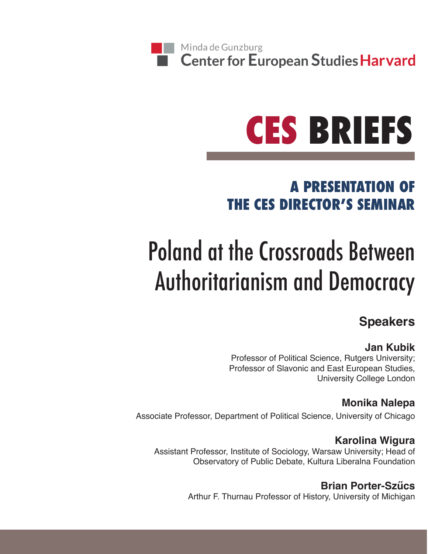# **CES BRIEFS**

## **A PRESENTATION OF THE CES DIRECTOR'S SEMINAR**

# Poland at the Crossroads Between Authoritarianism and Democracy

### **Speakers**

#### **Jan Kubik**

Professor of Political Science, Rutgers University; Professor of Slavonic and East European Studies, University College London

#### **Monika Nalepa**

Associate Professor, Department of Political Science, University of Chicago

#### **Karolina Wigura**

Assistant Professor, Institute of Sociology, Warsaw University; Head of Observatory of Public Debate, Kultura Liberalna Foundation

> **Brian Porter-Szűcs** Arthur F. Thurnau Professor of History, University of Michigan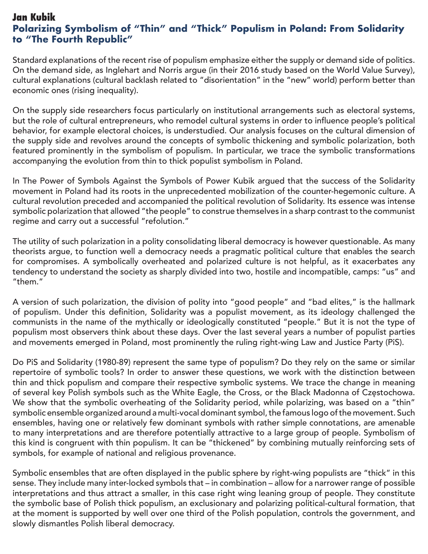#### **Jan Kubik Polarizing Symbolism of "Thin" and "Thick" Populism in Poland: From Solidarity to "The Fourth Republic"**

Standard explanations of the recent rise of populism emphasize either the supply or demand side of politics. On the demand side, as Inglehart and Norris argue (in their 2016 study based on the World Value Survey), cultural explanations (cultural backlash related to "disorientation" in the "new" world) perform better than economic ones (rising inequality).

On the supply side researchers focus particularly on institutional arrangements such as electoral systems, but the role of cultural entrepreneurs, who remodel cultural systems in order to influence people's political behavior, for example electoral choices, is understudied. Our analysis focuses on the cultural dimension of the supply side and revolves around the concepts of symbolic thickening and symbolic polarization, both featured prominently in the symbolism of populism. In particular, we trace the symbolic transformations accompanying the evolution from thin to thick populist symbolism in Poland.

In The Power of Symbols Against the Symbols of Power Kubik argued that the success of the Solidarity movement in Poland had its roots in the unprecedented mobilization of the counter-hegemonic culture. A cultural revolution preceded and accompanied the political revolution of Solidarity. Its essence was intense symbolic polarization that allowed "the people" to construe themselves in a sharp contrast to the communist regime and carry out a successful "refolution."

The utility of such polarization in a polity consolidating liberal democracy is however questionable. As many theorists argue, to function well a democracy needs a pragmatic political culture that enables the search for compromises. A symbolically overheated and polarized culture is not helpful, as it exacerbates any tendency to understand the society as sharply divided into two, hostile and incompatible, camps: "us" and "them."

A version of such polarization, the division of polity into "good people" and "bad elites," is the hallmark of populism. Under this definition, Solidarity was a populist movement, as its ideology challenged the communists in the name of the mythically or ideologically constituted "people." But it is not the type of populism most observers think about these days. Over the last several years a number of populist parties and movements emerged in Poland, most prominently the ruling right-wing Law and Justice Party (PiS).

Do PiS and Solidarity (1980-89) represent the same type of populism? Do they rely on the same or similar repertoire of symbolic tools? In order to answer these questions, we work with the distinction between thin and thick populism and compare their respective symbolic systems. We trace the change in meaning of several key Polish symbols such as the White Eagle, the Cross, or the Black Madonna of Częstochowa. We show that the symbolic overheating of the Solidarity period, while polarizing, was based on a "thin" symbolic ensemble organized around a multi-vocal dominant symbol, the famous logo of the movement. Such ensembles, having one or relatively few dominant symbols with rather simple connotations, are amenable to many interpretations and are therefore potentially attractive to a large group of people. Symbolism of this kind is congruent with thin populism. It can be "thickened" by combining mutually reinforcing sets of symbols, for example of national and religious provenance.

Symbolic ensembles that are often displayed in the public sphere by right-wing populists are "thick" in this sense. They include many inter-locked symbols that – in combination – allow for a narrower range of possible interpretations and thus attract a smaller, in this case right wing leaning group of people. They constitute the symbolic base of Polish thick populism, an exclusionary and polarizing political-cultural formation, that at the moment is supported by well over one third of the Polish population, controls the government, and slowly dismantles Polish liberal democracy.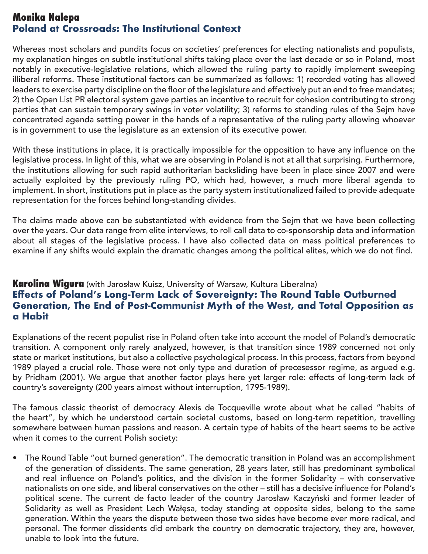#### **Monika Nalepa Poland at Crossroads: The Institutional Context**

Whereas most scholars and pundits focus on societies' preferences for electing nationalists and populists, my explanation hinges on subtle institutional shifts taking place over the last decade or so in Poland, most notably in executive-legislative relations, which allowed the ruling party to rapidly implement sweeping illiberal reforms. These institutional factors can be summarized as follows: 1) recorded voting has allowed leaders to exercise party discipline on the floor of the legislature and effectively put an end to free mandates; 2) the Open List PR electoral system gave parties an incentive to recruit for cohesion contributing to strong parties that can sustain temporary swings in voter volatility; 3) reforms to standing rules of the Sejm have concentrated agenda setting power in the hands of a representative of the ruling party allowing whoever is in government to use the legislature as an extension of its executive power.

With these institutions in place, it is practically impossible for the opposition to have any influence on the legislative process. In light of this, what we are observing in Poland is not at all that surprising. Furthermore, the institutions allowing for such rapid authoritarian backsliding have been in place since 2007 and were actually exploited by the previously ruling PO, which had, however, a much more liberal agenda to implement. In short, institutions put in place as the party system institutionalized failed to provide adequate representation for the forces behind long-standing divides.

The claims made above can be substantiated with evidence from the Sejm that we have been collecting over the years. Our data range from elite interviews, to roll call data to co-sponsorship data and information about all stages of the legislative process. I have also collected data on mass political preferences to examine if any shifts would explain the dramatic changes among the political elites, which we do not find.

#### **Karolina Wigura** (with Jarosław Kuisz, University of Warsaw, Kultura Liberalna) **Effects of Poland's Long-Term Lack of Sovereignty: The Round Table Outburned Generation, The End of Post-Communist Myth of the West, and Total Opposition as a Habit**

Explanations of the recent populist rise in Poland often take into account the model of Poland's democratic transition. A component only rarely analyzed, however, is that transition since 1989 concerned not only state or market institutions, but also a collective psychological process. In this process, factors from beyond 1989 played a crucial role. Those were not only type and duration of precesessor regime, as argued e.g. by Pridham (2001). We argue that another factor plays here yet larger role: effects of long-term lack of country's sovereignty (200 years almost without interruption, 1795-1989).

The famous classic theorist of democracy Alexis de Tocqueville wrote about what he called "habits of the heart", by which he understood certain societal customs, based on long-term repetition, travelling somewhere between human passions and reason. A certain type of habits of the heart seems to be active when it comes to the current Polish society:

• The Round Table "out burned generation". The democratic transition in Poland was an accomplishment of the generation of dissidents. The same generation, 28 years later, still has predominant symbolical and real influence on Poland's politics, and the division in the former Solidarity – with conservative nationalists on one side, and liberal conservatives on the other – still has a decisive influence for Poland's political scene. The current de facto leader of the country Jarosław Kaczyński and former leader of Solidarity as well as President Lech Wałęsa, today standing at opposite sides, belong to the same generation. Within the years the dispute between those two sides have become ever more radical, and personal. The former dissidents did embark the country on democratic trajectory, they are, however, unable to look into the future.